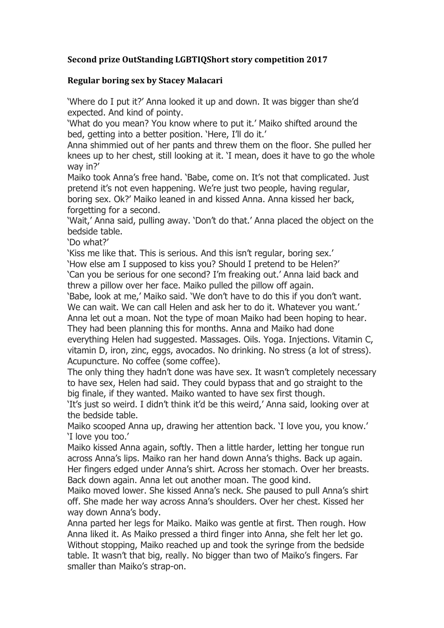## **Second prize OutStanding LGBTIQShort story competition 2017**

## **Regular boring sex by Stacey Malacari**

'Where do I put it?' Anna looked it up and down. It was bigger than she'd expected. And kind of pointy.

'What do you mean? You know where to put it.' Maiko shifted around the bed, getting into a better position. 'Here, I'll do it.'

Anna shimmied out of her pants and threw them on the floor. She pulled her knees up to her chest, still looking at it. 'I mean, does it have to go the whole way in?'

Maiko took Anna's free hand. 'Babe, come on. It's not that complicated. Just pretend it's not even happening. We're just two people, having regular, boring sex. Ok?' Maiko leaned in and kissed Anna. Anna kissed her back, forgetting for a second.

'Wait,' Anna said, pulling away. 'Don't do that.' Anna placed the object on the bedside table.

'Do what?'

'Kiss me like that. This is serious. And this isn't regular, boring sex.' 'How else am I supposed to kiss you? Should I pretend to be Helen?' 'Can you be serious for one second? I'm freaking out.' Anna laid back and threw a pillow over her face. Maiko pulled the pillow off again.

'Babe, look at me,' Maiko said. 'We don't have to do this if you don't want. We can wait. We can call Helen and ask her to do it. Whatever you want.' Anna let out a moan. Not the type of moan Maiko had been hoping to hear.

They had been planning this for months. Anna and Maiko had done everything Helen had suggested. Massages. Oils. Yoga. Injections. Vitamin C, vitamin D, iron, zinc, eggs, avocados. No drinking. No stress (a lot of stress). Acupuncture. No coffee (some coffee).

The only thing they hadn't done was have sex. It wasn't completely necessary to have sex, Helen had said. They could bypass that and go straight to the big finale, if they wanted. Maiko wanted to have sex first though.

'It's just so weird. I didn't think it'd be this weird,' Anna said, looking over at the bedside table.

Maiko scooped Anna up, drawing her attention back. 'I love you, you know.' 'I love you too.'

Maiko kissed Anna again, softly. Then a little harder, letting her tongue run across Anna's lips. Maiko ran her hand down Anna's thighs. Back up again. Her fingers edged under Anna's shirt. Across her stomach. Over her breasts. Back down again. Anna let out another moan. The good kind.

Maiko moved lower. She kissed Anna's neck. She paused to pull Anna's shirt off. She made her way across Anna's shoulders. Over her chest. Kissed her way down Anna's body.

Anna parted her legs for Maiko. Maiko was gentle at first. Then rough. How Anna liked it. As Maiko pressed a third finger into Anna, she felt her let go. Without stopping, Maiko reached up and took the syringe from the bedside table. It wasn't that big, really. No bigger than two of Maiko's fingers. Far smaller than Maiko's strap-on.